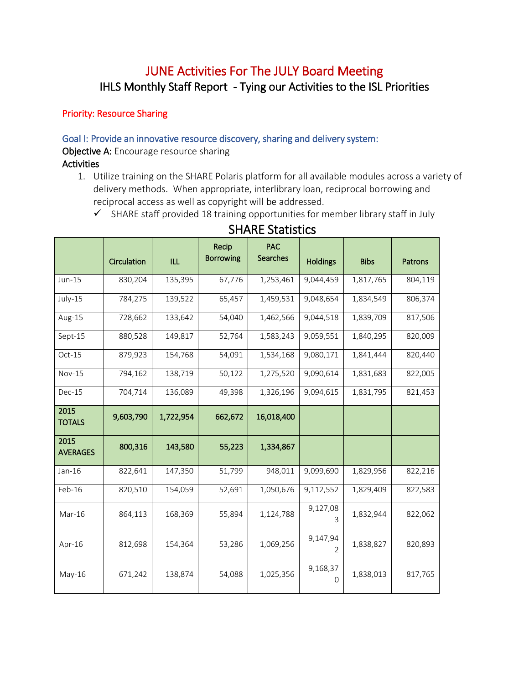# JUNE Activities For The JULY Board Meeting IHLS Monthly Staff Report - Tying our Activities to the ISL Priorities

# Priority: Resource Sharing

#### Goal I: Provide an innovative resource discovery, sharing and delivery system:

Objective A: Encourage resource sharing

#### **Activities**

- 1. Utilize training on the SHARE Polaris platform for all available modules across a variety of delivery methods. When appropriate, interlibrary loan, reciprocal borrowing and reciprocal access as well as copyright will be addressed.
	- $\checkmark$  SHARE staff provided 18 training opportunities for member library staff in July

|                         | Circulation | <b>ILL</b> | Recip<br><b>Borrowing</b> | <b>PAC</b><br><b>Searches</b> | <b>Holdings</b>      | <b>Bibs</b> | Patrons |
|-------------------------|-------------|------------|---------------------------|-------------------------------|----------------------|-------------|---------|
| Jun-15                  | 830,204     | 135,395    | 67,776                    | 1,253,461                     | 9,044,459            | 1,817,765   | 804,119 |
| July-15                 | 784,275     | 139,522    | 65,457                    | 1,459,531                     | 9,048,654            | 1,834,549   | 806,374 |
| Aug-15                  | 728,662     | 133,642    | 54,040                    | 1,462,566                     | 9,044,518            | 1,839,709   | 817,506 |
| Sept-15                 | 880,528     | 149,817    | 52,764                    | 1,583,243                     | 9,059,551            | 1,840,295   | 820,009 |
| Oct-15                  | 879,923     | 154,768    | 54,091                    | 1,534,168                     | 9,080,171            | 1,841,444   | 820,440 |
| <b>Nov-15</b>           | 794,162     | 138,719    | 50,122                    | 1,275,520                     | 9,090,614            | 1,831,683   | 822,005 |
| Dec-15                  | 704,714     | 136,089    | 49,398                    | 1,326,196                     | 9,094,615            | 1,831,795   | 821,453 |
| 2015<br><b>TOTALS</b>   | 9,603,790   | 1,722,954  | 662,672                   | 16,018,400                    |                      |             |         |
| 2015<br><b>AVERAGES</b> | 800,316     | 143,580    | 55,223                    | 1,334,867                     |                      |             |         |
| Jan-16                  | 822,641     | 147,350    | 51,799                    | 948,011                       | 9,099,690            | 1,829,956   | 822,216 |
| Feb-16                  | 820,510     | 154,059    | 52,691                    | 1,050,676                     | 9,112,552            | 1,829,409   | 822,583 |
| Mar-16                  | 864,113     | 168,369    | 55,894                    | 1,124,788                     | 9,127,08<br>3        | 1,832,944   | 822,062 |
| Apr-16                  | 812,698     | 154,364    | 53,286                    | 1,069,256                     | 9,147,94<br>2        | 1,838,827   | 820,893 |
| $May-16$                | 671,242     | 138,874    | 54,088                    | 1,025,356                     | 9,168,37<br>$\Omega$ | 1,838,013   | 817,765 |

# SHARE Statistics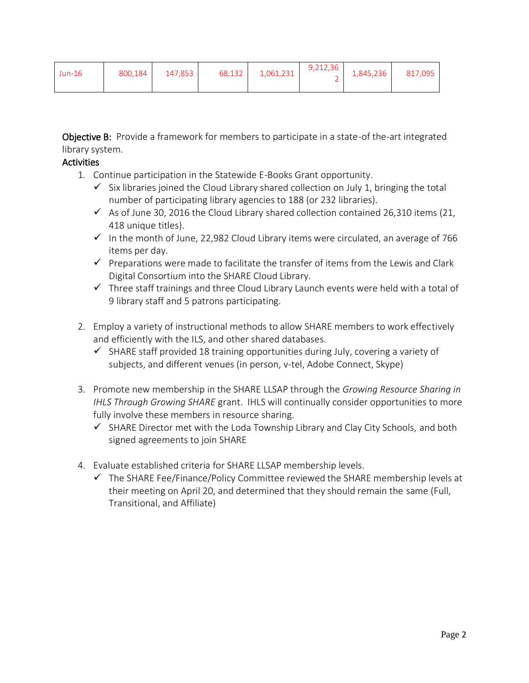| $Jun-16$ | 800.184 | 147.853 | $\begin{array}{ c c c c c c c c } \hline 68,132 & 1,061,231 & 9,212,36 & 1,845,236 \hline \end{array}$ |  | 817,095 |
|----------|---------|---------|--------------------------------------------------------------------------------------------------------|--|---------|
|          |         |         |                                                                                                        |  |         |

Objective B: Provide a framework for members to participate in a state-of the-art integrated library system.

- 1. Continue participation in the Statewide E-Books Grant opportunity.
	- $\checkmark$  Six libraries joined the Cloud Library shared collection on July 1, bringing the total number of participating library agencies to 188 (or 232 libraries).
	- $\checkmark$  As of June 30, 2016 the Cloud Library shared collection contained 26,310 items (21, 418 unique titles).
	- $\checkmark$  In the month of June, 22,982 Cloud Library items were circulated, an average of 766 items per day.
	- $\checkmark$  Preparations were made to facilitate the transfer of items from the Lewis and Clark Digital Consortium into the SHARE Cloud Library.
	- $\checkmark$  Three staff trainings and three Cloud Library Launch events were held with a total of 9 library staff and 5 patrons participating.
- 2. Employ a variety of instructional methods to allow SHARE members to work effectively and efficiently with the ILS, and other shared databases.
	- $\checkmark$  SHARE staff provided 18 training opportunities during July, covering a variety of subjects, and different venues (in person, v-tel, Adobe Connect, Skype)
- 3. Promote new membership in the SHARE LLSAP through the *Growing Resource Sharing in IHLS Through Growing SHARE* grant. IHLS will continually consider opportunities to more fully involve these members in resource sharing.
	- $\checkmark$  SHARE Director met with the Loda Township Library and Clay City Schools, and both signed agreements to join SHARE
- 4. Evaluate established criteria for SHARE LLSAP membership levels.
	- $\checkmark$  The SHARE Fee/Finance/Policy Committee reviewed the SHARE membership levels at their meeting on April 20, and determined that they should remain the same (Full, Transitional, and Affiliate)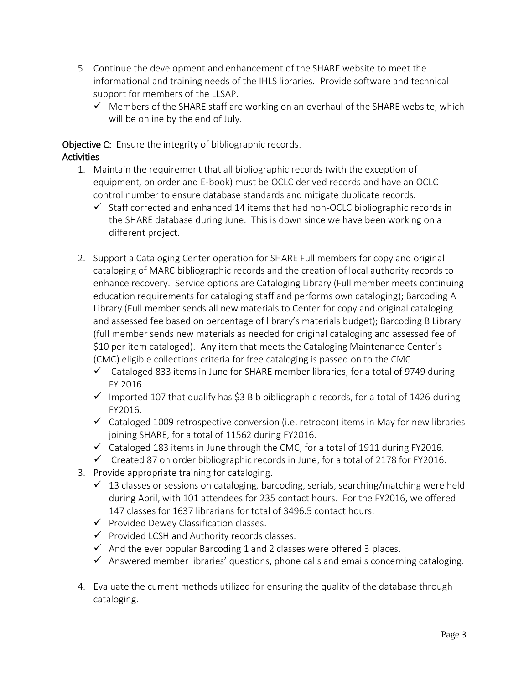- 5. Continue the development and enhancement of the SHARE website to meet the informational and training needs of the IHLS libraries. Provide software and technical support for members of the LLSAP.
	- $\checkmark$  Members of the SHARE staff are working on an overhaul of the SHARE website, which will be online by the end of July.

Objective C: Ensure the integrity of bibliographic records.

- 1. Maintain the requirement that all bibliographic records (with the exception of equipment, on order and E-book) must be OCLC derived records and have an OCLC control number to ensure database standards and mitigate duplicate records.
	- $\checkmark$  Staff corrected and enhanced 14 items that had non-OCLC bibliographic records in the SHARE database during June. This is down since we have been working on a different project.
- 2. Support a Cataloging Center operation for SHARE Full members for copy and original cataloging of MARC bibliographic records and the creation of local authority records to enhance recovery. Service options are Cataloging Library (Full member meets continuing education requirements for cataloging staff and performs own cataloging); Barcoding A Library (Full member sends all new materials to Center for copy and original cataloging and assessed fee based on percentage of library's materials budget); Barcoding B Library (full member sends new materials as needed for original cataloging and assessed fee of \$10 per item cataloged). Any item that meets the Cataloging Maintenance Center's (CMC) eligible collections criteria for free cataloging is passed on to the CMC.
	- $\checkmark$  Cataloged 833 items in June for SHARE member libraries, for a total of 9749 during FY 2016.
	- $\checkmark$  Imported 107 that qualify has \$3 Bib bibliographic records, for a total of 1426 during FY2016.
	- $\checkmark$  Cataloged 1009 retrospective conversion (i.e. retrocon) items in May for new libraries joining SHARE, for a total of 11562 during FY2016.
	- $\checkmark$  Cataloged 183 items in June through the CMC, for a total of 1911 during FY2016.
	- $\checkmark$  Created 87 on order bibliographic records in June, for a total of 2178 for FY2016.
- 3. Provide appropriate training for cataloging.
	- $\checkmark$  13 classes or sessions on cataloging, barcoding, serials, searching/matching were held during April, with 101 attendees for 235 contact hours. For the FY2016, we offered 147 classes for 1637 librarians for total of 3496.5 contact hours.
	- $\checkmark$  Provided Dewey Classification classes.
	- $\checkmark$  Provided LCSH and Authority records classes.
	- $\checkmark$  And the ever popular Barcoding 1 and 2 classes were offered 3 places.
	- $\checkmark$  Answered member libraries' questions, phone calls and emails concerning cataloging.
- 4. Evaluate the current methods utilized for ensuring the quality of the database through cataloging.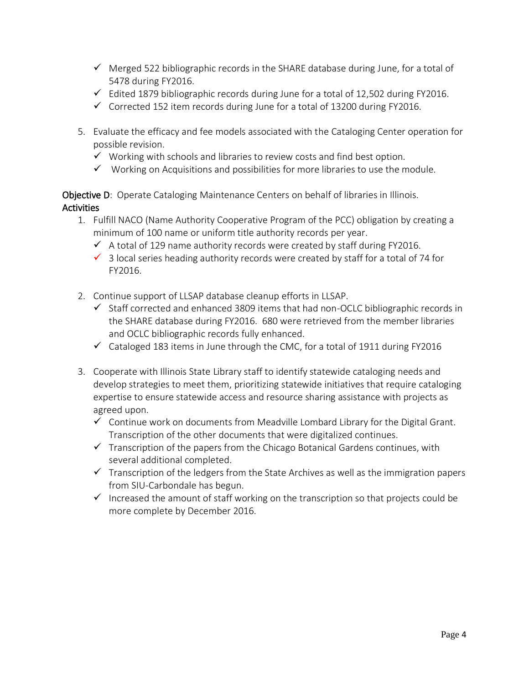- $\checkmark$  Merged 522 bibliographic records in the SHARE database during June, for a total of 5478 during FY2016.
- $\checkmark$  Edited 1879 bibliographic records during June for a total of 12,502 during FY2016.
- $\checkmark$  Corrected 152 item records during June for a total of 13200 during FY2016.
- 5. Evaluate the efficacy and fee models associated with the Cataloging Center operation for possible revision.
	- $\checkmark$  Working with schools and libraries to review costs and find best option.
	- $\checkmark$  Working on Acquisitions and possibilities for more libraries to use the module.

Objective D: Operate Cataloging Maintenance Centers on behalf of libraries in Illinois. **Activities** 

- 1. Fulfill NACO (Name Authority Cooperative Program of the PCC) obligation by creating a minimum of 100 name or uniform title authority records per year.
	- $\checkmark$  A total of 129 name authority records were created by staff during FY2016.
	- $\checkmark$  3 local series heading authority records were created by staff for a total of 74 for FY2016.
- 2. Continue support of LLSAP database cleanup efforts in LLSAP.
	- $\checkmark$  Staff corrected and enhanced 3809 items that had non-OCLC bibliographic records in the SHARE database during FY2016. 680 were retrieved from the member libraries and OCLC bibliographic records fully enhanced.
	- $\checkmark$  Cataloged 183 items in June through the CMC, for a total of 1911 during FY2016
- 3. Cooperate with Illinois State Library staff to identify statewide cataloging needs and develop strategies to meet them, prioritizing statewide initiatives that require cataloging expertise to ensure statewide access and resource sharing assistance with projects as agreed upon.
	- $\checkmark$  Continue work on documents from Meadville Lombard Library for the Digital Grant. Transcription of the other documents that were digitalized continues.
	- $\checkmark$  Transcription of the papers from the Chicago Botanical Gardens continues, with several additional completed.
	- $\checkmark$  Transcription of the ledgers from the State Archives as well as the immigration papers from SIU-Carbondale has begun.
	- $\checkmark$  Increased the amount of staff working on the transcription so that projects could be more complete by December 2016.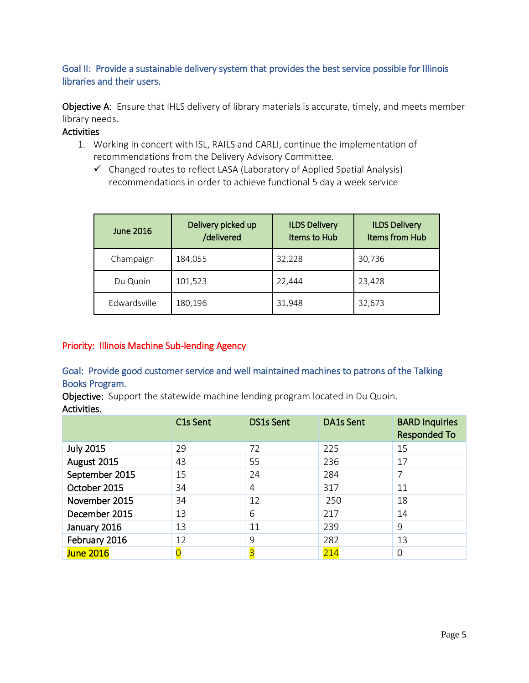# Goal II: Provide a sustainable delivery system that provides the best service possible for Illinois libraries and their users.

Objective A: Ensure that IHLS delivery of library materials is accurate, timely, and meets member library needs.

#### **Activities**

- 1. Working in concert with ISL, RAILS and CARLI, continue the implementation of recommendations from the Delivery Advisory Committee.
	- $\checkmark$  Changed routes to reflect LASA (Laboratory of Applied Spatial Analysis) recommendations in order to achieve functional 5 day a week service

| June 2016    | Delivery picked up<br>/delivered | <b>ILDS Delivery</b><br>Items to Hub | <b>ILDS Delivery</b><br>Items from Hub |  |
|--------------|----------------------------------|--------------------------------------|----------------------------------------|--|
| Champaign    | 184,055                          | 32,228                               | 30,736                                 |  |
| Du Quoin     | 101,523                          | 22,444                               | 23,428                                 |  |
| Edwardsville | 180,196                          | 31,948                               | 32,673                                 |  |

# Priority: Illinois Machine Sub-lending Agency

# Goal: Provide good customer service and well maintained machines to patrons of the Talking Books Program.

Objective: Support the statewide machine lending program located in Du Quoin. Activities.

|                  | C1s Sent | <b>DS1s Sent</b> | <b>DA1s Sent</b> | <b>BARD Inquiries</b><br><b>Responded To</b> |
|------------------|----------|------------------|------------------|----------------------------------------------|
| <b>July 2015</b> | 29       | 72               | 225              | 15                                           |
| August 2015      | 43       | 55               | 236              | 17                                           |
| September 2015   | 15       | 24               | 284              | 7                                            |
| October 2015     | 34       | 4                | 317              | 11                                           |
| November 2015    | 34       | 12               | 250              | 18                                           |
| December 2015    | 13       | 6                | 217              | 14                                           |
| January 2016     | 13       | 11               | 239              | 9                                            |
| February 2016    | 12       | 9                | 282              | 13                                           |
| <b>June 2016</b> |          | 3                | 214              | 0                                            |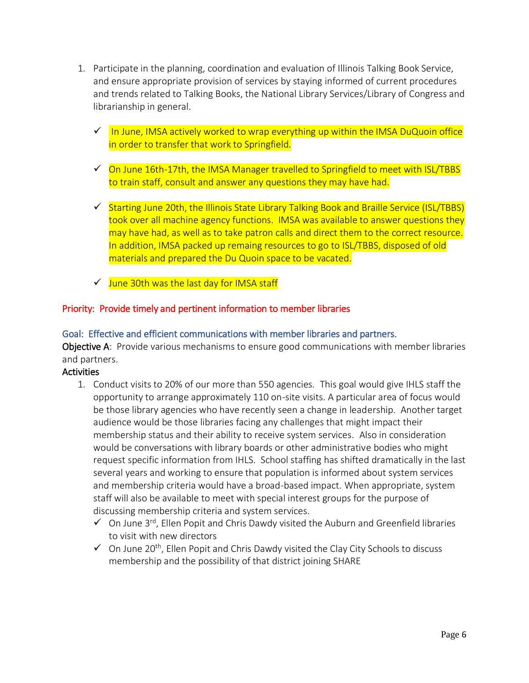- 1. Participate in the planning, coordination and evaluation of Illinois Talking Book Service, and ensure appropriate provision of services by staying informed of current procedures and trends related to Talking Books, the National Library Services/Library of Congress and librarianship in general.
	- $\checkmark$  In June, IMSA actively worked to wrap everything up within the IMSA DuQuoin office in order to transfer that work to Springfield.
	- $\checkmark$  On June 16th-17th, the IMSA Manager travelled to Springfield to meet with ISL/TBBS to train staff, consult and answer any questions they may have had.
	- $\checkmark$  Starting June 20th, the Illinois State Library Talking Book and Braille Service (ISL/TBBS) took over all machine agency functions. IMSA was available to answer questions they may have had, as well as to take patron calls and direct them to the correct resource. In addition, IMSA packed up remaing resources to go to ISL/TBBS, disposed of old materials and prepared the Du Quoin space to be vacated.
	- $\checkmark$  June 30th was the last day for IMSA staff

#### Priority: Provide timely and pertinent information to member libraries

#### Goal: Effective and efficient communications with member libraries and partners.

**Objective A:** Provide various mechanisms to ensure good communications with member libraries and partners.

- 1. Conduct visits to 20% of our more than 550 agencies. This goal would give IHLS staff the opportunity to arrange approximately 110 on-site visits. A particular area of focus would be those library agencies who have recently seen a change in leadership. Another target audience would be those libraries facing any challenges that might impact their membership status and their ability to receive system services. Also in consideration would be conversations with library boards or other administrative bodies who might request specific information from IHLS. School staffing has shifted dramatically in the last several years and working to ensure that population is informed about system services and membership criteria would have a broad-based impact. When appropriate, system staff will also be available to meet with special interest groups for the purpose of discussing membership criteria and system services.
	- $\checkmark$  On June 3<sup>rd</sup>, Ellen Popit and Chris Dawdy visited the Auburn and Greenfield libraries to visit with new directors
	- $\checkmark$  On June 20<sup>th</sup>, Ellen Popit and Chris Dawdy visited the Clay City Schools to discuss membership and the possibility of that district joining SHARE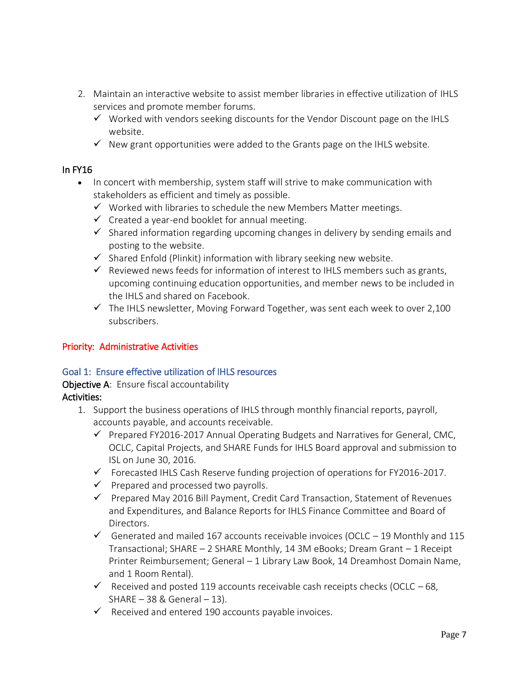- 2. Maintain an interactive website to assist member libraries in effective utilization of IHLS services and promote member forums.
	- $\checkmark$  Worked with vendors seeking discounts for the Vendor Discount page on the IHLS website.
	- $\checkmark$  New grant opportunities were added to the Grants page on the IHLS website.

#### In FY16

- In concert with membership, system staff will strive to make communication with stakeholders as efficient and timely as possible.
	- $\checkmark$  Worked with libraries to schedule the new Members Matter meetings.
	- $\checkmark$  Created a year-end booklet for annual meeting.
	- $\checkmark$  Shared information regarding upcoming changes in delivery by sending emails and posting to the website.
	- $\checkmark$  Shared Enfold (Plinkit) information with library seeking new website.
	- $\checkmark$  Reviewed news feeds for information of interest to IHLS members such as grants, upcoming continuing education opportunities, and member news to be included in the IHLS and shared on Facebook.
	- $\checkmark$  The IHLS newsletter, Moving Forward Together, was sent each week to over 2,100 subscribers.

#### Priority: Administrative Activities

#### Goal 1: Ensure effective utilization of IHLS resources

#### Objective A: Ensure fiscal accountability Activities:

- 1. Support the business operations of IHLS through monthly financial reports, payroll, accounts payable, and accounts receivable.
	- $\checkmark$  Prepared FY2016-2017 Annual Operating Budgets and Narratives for General, CMC, OCLC, Capital Projects, and SHARE Funds for IHLS Board approval and submission to ISL on June 30, 2016.
	- $\checkmark$  Forecasted IHLS Cash Reserve funding projection of operations for FY2016-2017.
	- $\checkmark$  Prepared and processed two payrolls.
	- $\checkmark$  Prepared May 2016 Bill Payment, Credit Card Transaction, Statement of Revenues and Expenditures, and Balance Reports for IHLS Finance Committee and Board of Directors.
	- Generated and mailed 167 accounts receivable invoices (OCLC  $-$  19 Monthly and 115 Transactional; SHARE – 2 SHARE Monthly, 14 3M eBooks; Dream Grant – 1 Receipt Printer Reimbursement; General – 1 Library Law Book, 14 Dreamhost Domain Name, and 1 Room Rental).
	- $\checkmark$  Received and posted 119 accounts receivable cash receipts checks (OCLC 68,  $SHARE - 38 & General - 13$ ).
	- $\checkmark$  Received and entered 190 accounts payable invoices.